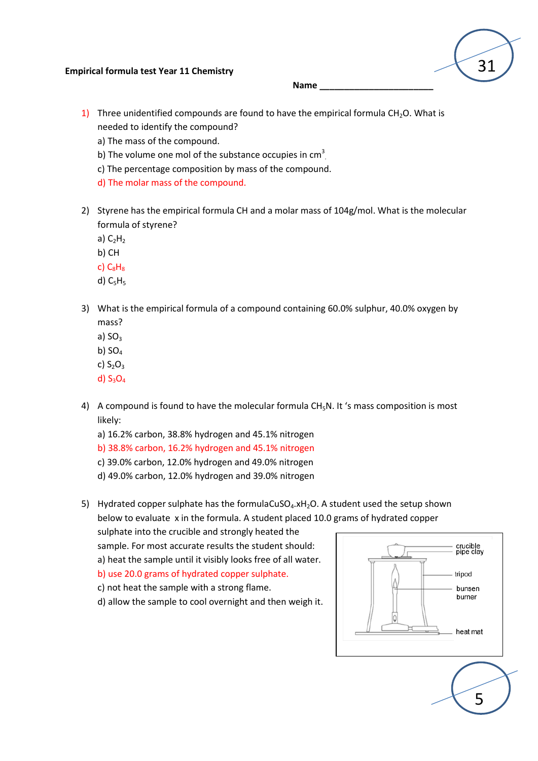## **Empirical formula test Year 11 Chemistry**

**Name \_\_\_\_\_\_\_\_\_\_\_\_\_\_\_\_\_\_\_\_\_\_\_**

- 1) Three unidentified compounds are found to have the empirical formula  $CH<sub>2</sub>O$ . What is needed to identify the compound?
	- a) The mass of the compound.
	- b) The volume one mol of the substance occupies in cm<sup>3</sup>.
	- c) The percentage composition by mass of the compound.
	- d) The molar mass of the compound.
- 2) Styrene has the empirical formula CH and a molar mass of 104g/mol. What is the molecular formula of styrene?
	- a)  $C_2H_2$
	- b) CH
	- $c)$   $C_8H_8$
	- d)  $C_5H_5$
- 3) What is the empirical formula of a compound containing 60.0% sulphur, 40.0% oxygen by mass?
	- a)  $SO<sub>3</sub>$
	- b)  $SO<sub>4</sub>$
	- c)  $S_2O_3$
	- d)  $S_3O_4$
- 4) A compound is found to have the molecular formula  $CH<sub>5</sub>N$ . It 's mass composition is most likely:
	- a) 16.2% carbon, 38.8% hydrogen and 45.1% nitrogen
	- b) 38.8% carbon, 16.2% hydrogen and 45.1% nitrogen
	- c) 39.0% carbon, 12.0% hydrogen and 49.0% nitrogen
	- d) 49.0% carbon, 12.0% hydrogen and 39.0% nitrogen
- 5) Hydrated copper sulphate has the formulaCuSO $_4$ .xH<sub>2</sub>O. A student used the setup shown below to evaluate x in the formula. A student placed 10.0 grams of hydrated copper

sulphate into the crucible and strongly heated the sample. For most accurate results the student should:

- a) heat the sample until it visibly looks free of all water.
- b) use 20.0 grams of hydrated copper sulphate.
- c) not heat the sample with a strong flame.
- d) allow the sample to cool overnight and then weigh it.



5

31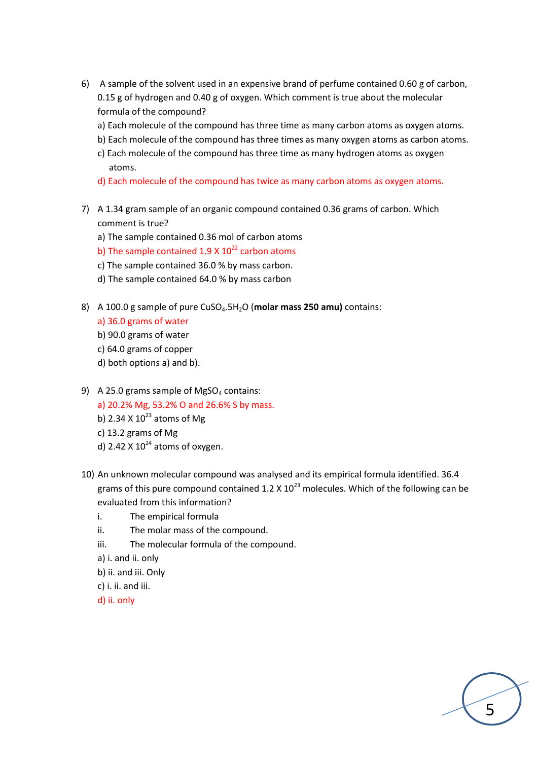- 6) A sample of the solvent used in an expensive brand of perfume contained 0.60 g of carbon, 0.15 g of hydrogen and 0.40 g of oxygen. Which comment is true about the molecular formula of the compound?
	- a) Each molecule of the compound has three time as many carbon atoms as oxygen atoms.
	- b) Each molecule of the compound has three times as many oxygen atoms as carbon atoms.
	- c) Each molecule of the compound has three time as many hydrogen atoms as oxygen atoms.
	- d) Each molecule of the compound has twice as many carbon atoms as oxygen atoms.
- 7) A 1.34 gram sample of an organic compound contained 0.36 grams of carbon. Which comment is true?
	- a) The sample contained 0.36 mol of carbon atoms
	- b) The sample contained 1.9 X  $10^{22}$  carbon atoms
	- c) The sample contained 36.0 % by mass carbon.
	- d) The sample contained 64.0 % by mass carbon
- 8) A 100.0 g sample of pure CuSO4.5H2O (**molar mass 250 amu)** contains:
	- a) 36.0 grams of water
	- b) 90.0 grams of water
	- c) 64.0 grams of copper
	- d) both options a) and b).
- 9) A 25.0 grams sample of MgSO<sub>4</sub> contains: a) 20.2% Mg, 53.2% O and 26.6% S by mass. b) 2.34 X  $10^{23}$  atoms of Mg c) 13.2 grams of Mg d) 2.42 X  $10^{24}$  atoms of oxygen.
- 10) An unknown molecular compound was analysed and its empirical formula identified. 36.4 grams of this pure compound contained 1.2 X  $10^{23}$  molecules. Which of the following can be evaluated from this information?

5

- i. The empirical formula
- ii. The molar mass of the compound.
- iii. The molecular formula of the compound.
- a) i. and ii. only
- b) ii. and iii. Only
- c) i. ii. and iii.

d) ii. only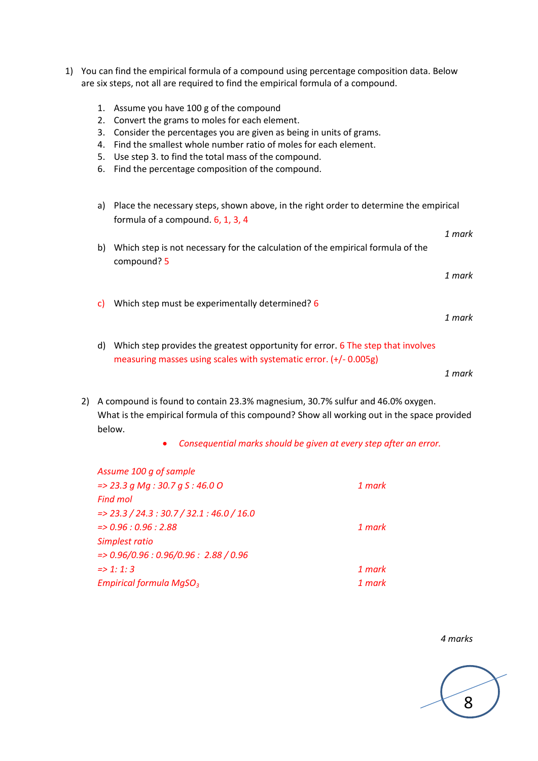- 1) You can find the empirical formula of a compound using percentage composition data. Below are six steps, not all are required to find the empirical formula of a compound.
	- 1. Assume you have 100 g of the compound
	- 2. Convert the grams to moles for each element.
	- 3. Consider the percentages you are given as being in units of grams.
	- 4. Find the smallest whole number ratio of moles for each element.
	- 5. Use step 3. to find the total mass of the compound.
	- 6. Find the percentage composition of the compound.
	- a) Place the necessary steps, shown above, in the right order to determine the empirical formula of a compound. 6, 1, 3, 4 *1 mark* b) Which step is not necessary for the calculation of the empirical formula of the compound? 5 *1 mark* c) Which step must be experimentally determined? 6 *1 mark* d) Which step provides the greatest opportunity for error. 6 The step that involves measuring masses using scales with systematic error. (+/- 0.005g)

*1 mark*

2) A compound is found to contain 23.3% magnesium, 30.7% sulfur and 46.0% oxygen. What is the empirical formula of this compound? Show all working out in the space provided below.

*Consequential marks should be given at every step after an error.*

| Assume 100 g of sample                            |        |
|---------------------------------------------------|--------|
| $=$ > 23.3 g Mg : 30.7 g S : 46.0 O               | 1 mark |
| <b>Find mol</b>                                   |        |
| $\approx$ 23.3 / 24.3 : 30.7 / 32.1 : 46.0 / 16.0 |        |
| $=$ > 0.96 : 0.96 : 2.88                          | 1 mark |
| Simplest ratio                                    |        |
| $=$ > 0.96/0.96 : 0.96/0.96 : 2.88 / 0.96         |        |
| $\Rightarrow$ 1: 1: 3                             | 1 mark |
| Empirical formula $MqSO3$                         | 1 mark |
|                                                   |        |

## *4 marks*

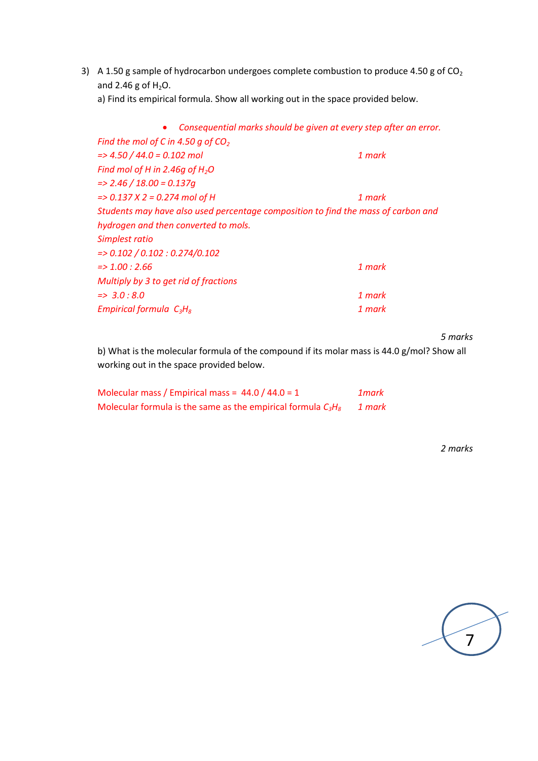3) A 1.50 g sample of hydrocarbon undergoes complete combustion to produce 4.50 g of  $CO<sub>2</sub>$ and 2.46 g of  $H_2O$ .

a) Find its empirical formula. Show all working out in the space provided below.

| Consequential marks should be given at every step after an error.                 |        |  |
|-----------------------------------------------------------------------------------|--------|--|
| Find the mol of C in 4.50 q of $CO2$                                              |        |  |
| $\approx$ 4.50 / 44.0 = 0.102 mol                                                 | 1 mark |  |
| Find mol of H in 2.46g of $H_2O$                                                  |        |  |
| $\approx$ 2.46 / 18.00 = 0.137q                                                   |        |  |
| $=$ > 0.137 X 2 = 0.274 mol of H                                                  | 1 mark |  |
| Students may have also used percentage composition to find the mass of carbon and |        |  |
| hydrogen and then converted to mols.                                              |        |  |
| Simplest ratio                                                                    |        |  |
| $=$ > 0.102 / 0.102 : 0.274/0.102                                                 |        |  |
| $\approx 1.00:2.66$                                                               | 1 mark |  |
| Multiply by 3 to get rid of fractions                                             |        |  |
| $\Rightarrow$ 3.0 : 8.0                                                           | 1 mark |  |
| Empirical formula $C_3H_8$                                                        | 1 mark |  |
|                                                                                   |        |  |

*5 marks*

b) What is the molecular formula of the compound if its molar mass is 44.0 g/mol? Show all working out in the space provided below.

| Molecular mass / Empirical mass = $44.0 / 44.0 = 1$             | 1mark  |
|-----------------------------------------------------------------|--------|
| Molecular formula is the same as the empirical formula $C_3H_8$ | 1 mark |

*2 marks*